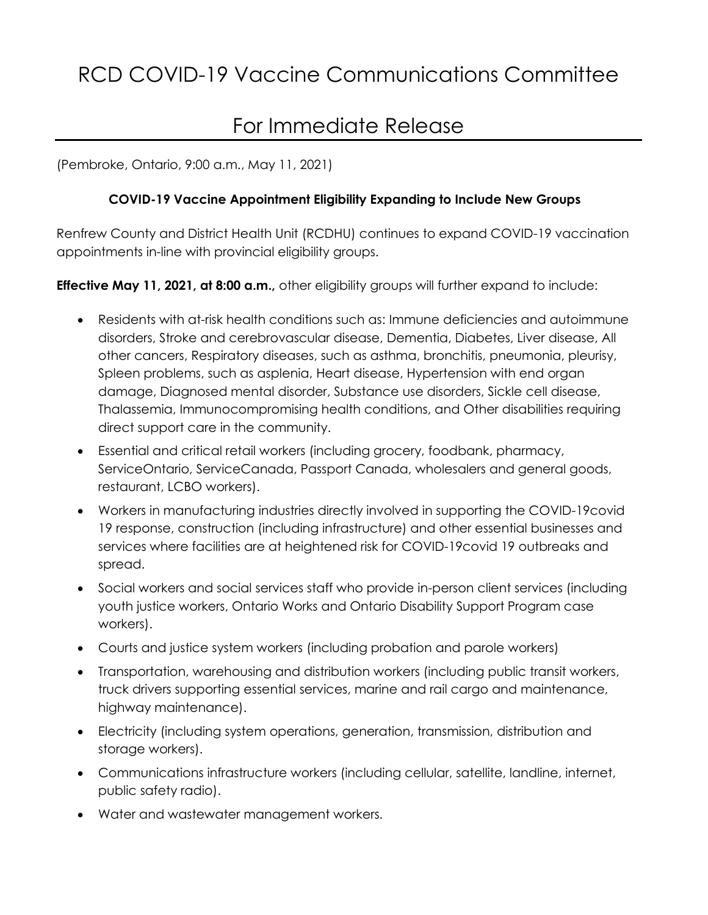## For Immediate Release

(Pembroke, Ontario, 9:00 a.m., May 11, 2021)

## **COVID-19 Vaccine Appointment Eligibility Expanding to Include New Groups**

Renfrew County and District Health Unit (RCDHU) continues to expand COVID-19 vaccination appointments in-line with provincial eligibility groups.

**Effective May 11, 2021, at 8:00 a.m.,** other eligibility groups will further expand to include:

- Residents with at-risk health conditions such as: Immune deficiencies and autoimmune disorders, Stroke and cerebrovascular disease, Dementia, Diabetes, Liver disease, All other cancers, Respiratory diseases, such as asthma, bronchitis, pneumonia, pleurisy, Spleen problems, such as asplenia, Heart disease, Hypertension with end organ damage, Diagnosed mental disorder, Substance use disorders, Sickle cell disease, Thalassemia, Immunocompromising health conditions, and Other disabilities requiring direct support care in the community.
- Essential and critical retail workers (including grocery, foodbank, pharmacy, ServiceOntario, ServiceCanada, Passport Canada, wholesalers and general goods, restaurant, LCBO workers).
- Workers in manufacturing industries directly involved in supporting the COVID-19covid 19 response, construction (including infrastructure) and other essential businesses and services where facilities are at heightened risk for COVID-19covid 19 outbreaks and spread.
- Social workers and social services staff who provide in-person client services (including youth justice workers, Ontario Works and Ontario Disability Support Program case workers).
- Courts and justice system workers (including probation and parole workers)
- Transportation, warehousing and distribution workers (including public transit workers, truck drivers supporting essential services, marine and rail cargo and maintenance, highway maintenance).
- Electricity (including system operations, generation, transmission, distribution and storage workers).
- Communications infrastructure workers (including cellular, satellite, landline, internet, public safety radio).
- Water and wastewater management workers.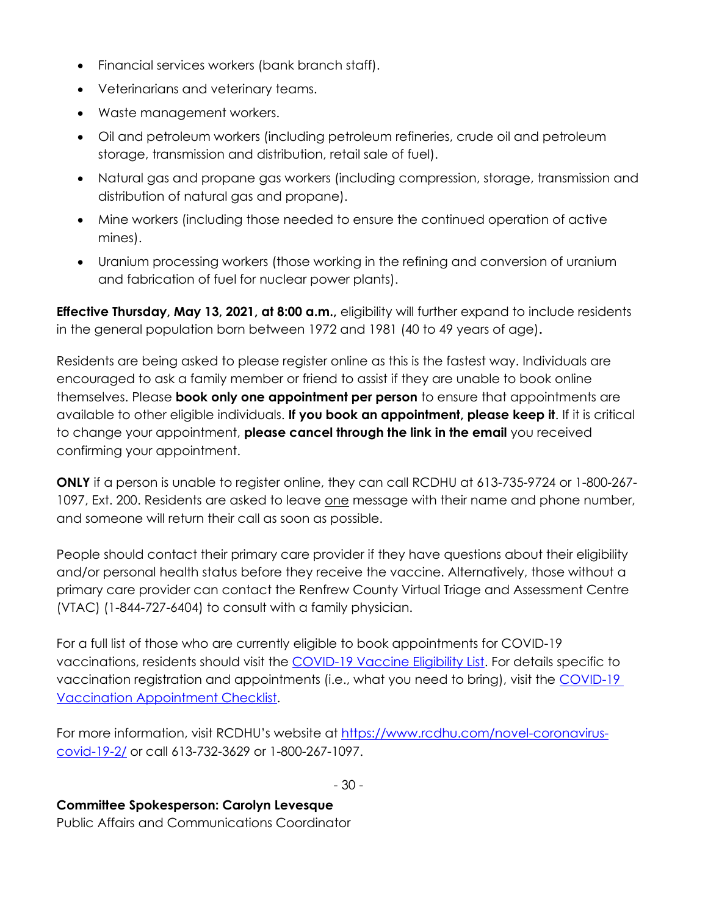- Financial services workers (bank branch staff).
- Veterinarians and veterinary teams.
- Waste management workers.
- Oil and petroleum workers (including petroleum refineries, crude oil and petroleum storage, transmission and distribution, retail sale of fuel).
- Natural gas and propane gas workers (including compression, storage, transmission and distribution of natural gas and propane).
- Mine workers (including those needed to ensure the continued operation of active mines).
- Uranium processing workers (those working in the refining and conversion of uranium and fabrication of fuel for nuclear power plants).

**Effective Thursday, May 13, 2021, at 8:00 a.m.,** eligibility will further expand to include residents in the general population born between 1972 and 1981 (40 to 49 years of age)**.**

Residents are being asked to please register online as this is the fastest way. Individuals are encouraged to ask a family member or friend to assist if they are unable to book online themselves. Please **book only one appointment per person** to ensure that appointments are available to other eligible individuals. **If you book an appointment, please keep it**. If it is critical to change your appointment, **please cancel through the link in the email** you received confirming your appointment.

**ONLY** if a person is unable to register online, they can call RCDHU at 613-735-9724 or 1-800-267- 1097, Ext. 200. Residents are asked to leave <u>one</u> message with their name and phone number, and someone will return their call as soon as possible.

People should contact their primary care provider if they have questions about their eligibility and/or personal health status before they receive the vaccine. Alternatively, those without a primary care provider can contact the Renfrew County Virtual Triage and Assessment Centre (VTAC) (1-844-727-6404) to consult with a family physician.

For a full list of those who are currently eligible to book appointments for COVID-19 vaccinations, residents should visit the [COVID-19 Vaccine Eligibility List.](https://www.rcdhu.com/wp-content/uploads/2021/05/May-05-2021-List-of-Eligibility.pdf) For details specific to vaccination registration and appointments (i.e., what you need to bring), visit the COVID-19 [Vaccination Appointment Checklist.](https://www.rcdhu.com/wp-content/uploads/2021/05/May-05-2021-Appointment-Checklist.pdf)

For more information, visit RCDHU's website at https://www.rcdhu.com/novel-coronaviruscovid-19-2/ or call 613-732-3629 or 1-800-267-1097.

- 30 -

## **Committee Spokesperson: Carolyn Levesque**

Public Affairs and Communications Coordinator